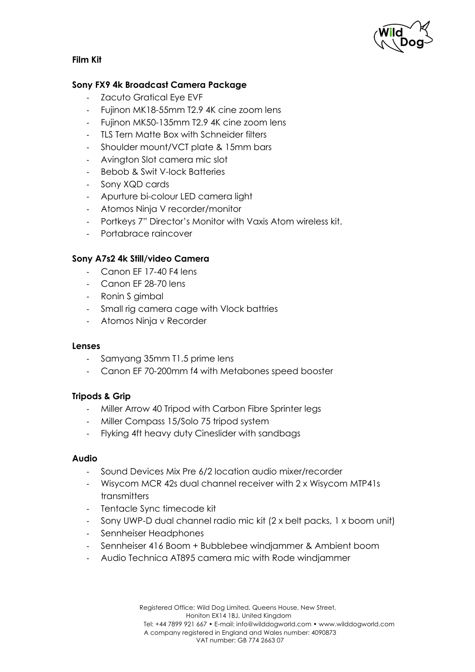

# **Film Kit**

## **Sony FX9 4k Broadcast Camera Package**

- Zacuto Gratical Eve EVF
- Fujinon MK18-55mm T2.9 4K cine zoom lens
- Fujinon MK50-135mm T2.9 4K cine zoom lens
- TLS Tern Matte Box with Schneider filters
- Shoulder mount/VCT plate & 15mm bars
- Avington Slot camera mic slot
- Bebob & Swit V-lock Batteries
- Sony XQD cards
- Apurture bi-colour LED camera light
- Atomos Ninja V recorder/monitor
- Portkeys 7" Director's Monitor with Vaxis Atom wireless kit.
- Portabrace raincover

# **Sony A7s2 4k Still/video Camera**

- Canon EF 17-40 F4 lens
- Canon EF 28-70 lens
- Ronin S gimbal
- Small rig camera cage with Vlock battries
- Atomos Ninja v Recorder

#### **Lenses**

- Samyang 35mm T1.5 prime lens
- Canon EF 70-200mm f4 with Metabones speed booster

#### **Tripods & Grip**

- Miller Arrow 40 Tripod with Carbon Fibre Sprinter legs
- Miller Compass 15/Solo 75 tripod system
- Flyking 4ft heavy duty Cineslider with sandbags

#### **Audio**

- Sound Devices Mix Pre 6/2 location audio mixer/recorder
- Wisycom MCR 42s dual channel receiver with 2 x Wisycom MTP41s transmitters
- Tentacle Sync timecode kit
- Sony UWP-D dual channel radio mic kit (2 x belt packs, 1 x boom unit)
- Sennheiser Headphones
- Sennheiser 416 Boom + Bubblebee windjammer & Ambient boom
- Audio Technica AT895 camera mic with Rode windjammer